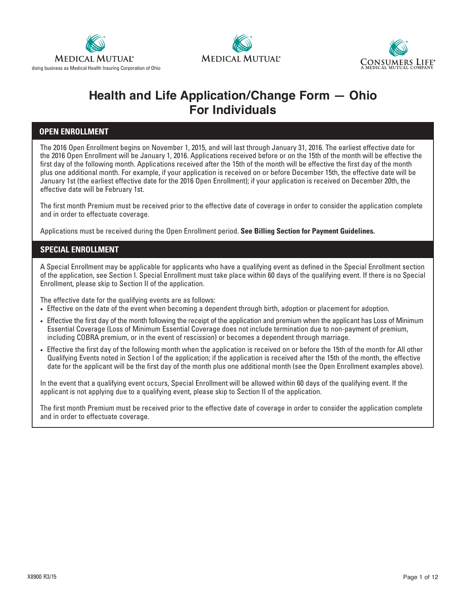





# **Health and Life Application/Change Form — Ohio For Individuals**

## **OPEN ENROLLMENT**

The 2016 Open Enrollment begins on November 1, 2015, and will last through January 31, 2016. The earliest effective date for the 2016 Open Enrollment will be January 1, 2016. Applications received before or on the 15th of the month will be effective the first day of the following month. Applications received after the 15th of the month will be effective the first day of the month plus one additional month. For example, if your application is received on or before December 15th, the effective date will be January 1st (the earliest effective date for the 2016 Open Enrollment); if your application is received on December 20th, the effective date will be February 1st.

The first month Premium must be received prior to the effective date of coverage in order to consider the application complete and in order to effectuate coverage.

Applications must be received during the Open Enrollment period. **See Billing Section for Payment Guidelines.**

## **SPECIAL ENROLLMENT**

A Special Enrollment may be applicable for applicants who have a qualifying event as defined in the Special Enrollment section of the application, see Section I. Special Enrollment must take place within 60 days of the qualifying event. If there is no Special Enrollment, please skip to Section II of the application.

The effective date for the qualifying events are as follows:

- Effective on the date of the event when becoming a dependent through birth, adoption or placement for adoption.
- Effective the first day of the month following the receipt of the application and premium when the applicant has Loss of Minimum Essential Coverage (Loss of Minimum Essential Coverage does not include termination due to non-payment of premium, including COBRA premium, or in the event of rescission) or becomes a dependent through marriage.
- Effective the first day of the following month when the application is received on or before the 15th of the month for All other Qualifying Events noted in Section I of the application; if the application is received after the 15th of the month, the effective date for the applicant will be the first day of the month plus one additional month (see the Open Enrollment examples above).

In the event that a qualifying event occurs, Special Enrollment will be allowed within 60 days of the qualifying event. If the applicant is not applying due to a qualifying event, please skip to Section II of the application.

The first month Premium must be received prior to the effective date of coverage in order to consider the application complete and in order to effectuate coverage.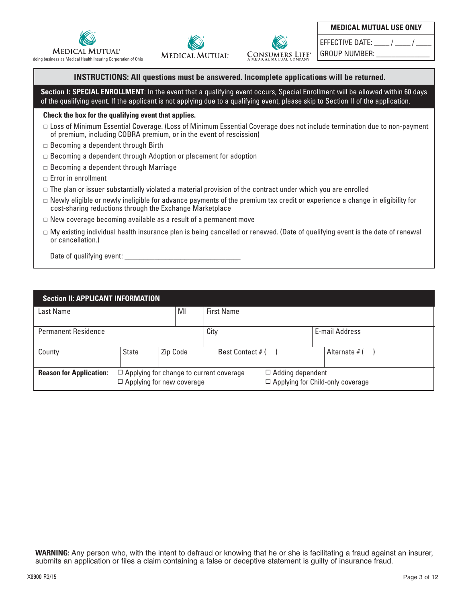





EFFECTIVE DATE:  $\qquad$  /  $\qquad$  /

GROUP NUMBER:

### **INSTRUCTIONS: All questions must be answered. Incomplete applications will be returned.**

Section I: SPECIAL ENROLLMENT: In the event that a qualifying event occurs, Special Enrollment will be allowed within 60 days of the qualifying event. If the applicant is not applying due to a qualifying event, please skip to Section II of the application.

#### **Check the box for the qualifying event that applies.**

- Loss of Minimum Essential Coverage. (Loss of Minimum Essential Coverage does not include termination due to non-payment of premium, including COBRA premium, or in the event of rescission)
- $\Box$  Becoming a dependent through Birth
- $\Box$  Becoming a dependent through Adoption or placement for adoption
- $\Box$  Becoming a dependent through Marriage
- $\Box$  Error in enrollment
- $\Box$  The plan or issuer substantially violated a material provision of the contract under which you are enrolled
- $\Box$  Newly eligible or newly ineligible for advance payments of the premium tax credit or experience a change in eligibility for cost-sharing reductions through the Exchange Marketplace
- $\Box$  New coverage becoming available as a result of a permanent move
- $\Box$  My existing individual health insurance plan is being cancelled or renewed. (Date of qualifying event is the date of renewal or cancellation.)

Date of qualifying event:

| <b>Section II: APPLICANT INFORMATION</b> |                                                                                                                                                          |          |  |                   |  |                |
|------------------------------------------|----------------------------------------------------------------------------------------------------------------------------------------------------------|----------|--|-------------------|--|----------------|
| Last Name                                |                                                                                                                                                          | MI       |  | <b>First Name</b> |  |                |
| <b>Permanent Residence</b>               |                                                                                                                                                          |          |  | City              |  | E-mail Address |
| County                                   | <b>State</b>                                                                                                                                             | Zip Code |  | Best Contact # (  |  | Alternate # (  |
| <b>Reason for Application:</b>           | $\Box$ Adding dependent<br>$\Box$ Applying for change to current coverage<br>$\Box$ Applying for Child-only coverage<br>$\Box$ Applying for new coverage |          |  |                   |  |                |

**WARNING:** Any person who, with the intent to defraud or knowing that he or she is facilitating a fraud against an insurer, submits an application or files a claim containing a false or deceptive statement is guilty of insurance fraud.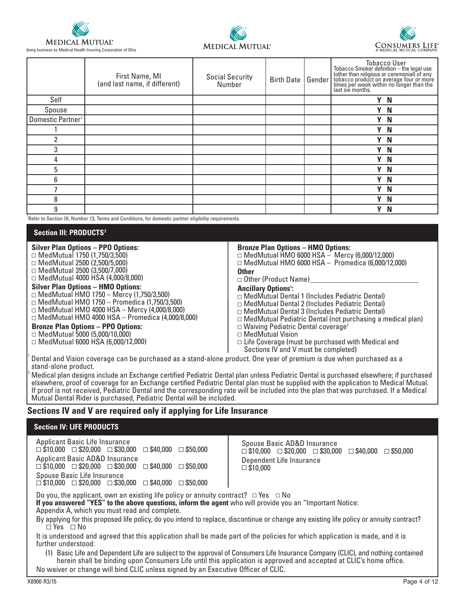

doing business as Medical Health Insuring Corporation of Ohio





|                               | First Name, MI<br>(and last name, if different) | <b>Social Security</b><br>Number | <b>Birth Date</b> | Gender | Tobacco User<br>Tobacco Smoker definition – the legal use<br>(other than religious or ceremonial) of any<br>tobacco product on average four or more<br>times per week within no longer than the<br>last six months. |
|-------------------------------|-------------------------------------------------|----------------------------------|-------------------|--------|---------------------------------------------------------------------------------------------------------------------------------------------------------------------------------------------------------------------|
| Self                          |                                                 |                                  |                   |        | Y N                                                                                                                                                                                                                 |
| Spouse                        |                                                 |                                  |                   |        | Y N                                                                                                                                                                                                                 |
| Domestic Partner <sup>1</sup> |                                                 |                                  |                   |        | Y N                                                                                                                                                                                                                 |
|                               |                                                 |                                  |                   |        | Y N                                                                                                                                                                                                                 |
|                               |                                                 |                                  |                   |        | Y N                                                                                                                                                                                                                 |
| 3                             |                                                 |                                  |                   |        | Y N                                                                                                                                                                                                                 |
| 4                             |                                                 |                                  |                   |        | Y N                                                                                                                                                                                                                 |
| 5                             |                                                 |                                  |                   |        | Y N                                                                                                                                                                                                                 |
| 6                             |                                                 |                                  |                   |        | Υ<br>N                                                                                                                                                                                                              |
|                               |                                                 |                                  |                   |        | Y N                                                                                                                                                                                                                 |
| 8                             |                                                 |                                  |                   |        | Y N                                                                                                                                                                                                                 |
| 9                             |                                                 |                                  |                   |        | Y N                                                                                                                                                                                                                 |

<sup>1</sup> Refer to Section IX, Number 13, Terms and Conditions, for domestic partner eligibility requirements.

#### **Section III: PRODUCTS2**

| <b>Silver Plan Options - PPO Options:</b>               | <b>Bronze Plan Options - HMO Options:</b>                         |
|---------------------------------------------------------|-------------------------------------------------------------------|
| $\Box$ MedMutual 1750 (1,750/3,500)                     | $\Box$ MedMutual HMO 6000 HSA $-$ Mercy (6,000/12,000)            |
| $\Box$ MedMutual 2500 (2,500/5,000)                     | $\Box$ MedMutual HMO 6000 HSA - Promedica (6,000/12,000)          |
| $\Box$ MedMutual 3500 (3,500/7,000)                     | <b>Other</b>                                                      |
| $\Box$ MedMutual 4000 HSA (4,000/8,000)                 | $\Box$ Other (Product Name)                                       |
| <b>Silver Plan Options - HMO Options:</b>               | <b>Ancillary Options':</b>                                        |
| $\Box$ MedMutual HMO 1750 - Mercy (1,750/3,500)         | □ MedMutual Dental 1 (Includes Pediatric Dental)                  |
| $\Box$ MedMutual HMO 1750 – Promedica (1,750/3,500)     | $\Box$ MedMutual Dental 2 (Includes Pediatric Dental)             |
| $\Box$ MedMutual HMO 4000 HSA - Mercy (4,000/8,000)     | $\Box$ MedMutual Dental 3 (Includes Pediatric Dental)             |
| $\Box$ MedMutual HMO 4000 HSA - Promedica (4,000/8,000) | $\Box$ MedMutual Pediatric Dental (not purchasing a medical plan) |
| <b>Bronze Plan Options - PPO Options:</b>               | $\Box$ Waiving Pediatric Dental coverage <sup>2</sup>             |
| $\Box$ MedMutual 5000 (5,000/10,000)                    | $\Box$ MedMutual Vision                                           |
| $\Box$ MedMutual 6000 HSA (6,000/12,000)                | $\Box$ Life Coverage (must be purchased with Medical and          |

Sections IV and V must be completed)

Dental and Vision coverage can be purchased as a stand-alone product. One year of premium is due when purchased as a stand-alone product.

Medical plan designs include an Exchange certified Pediatric Dental plan unless Pediatric Dental is purchased elsewhere; if purchased elsewhere, proof of coverage for an Exchange certified Pediatric Dental plan must be supplied with the application to Medical Mutual. If proof is not received, Pediatric Dental and the corresponding rate will be included into the plan that was purchased. If a Medical Mutual Dental Rider is purchased, Pediatric Dental will be included.

 $\mathbf{I}$ 

## **Sections IV and V are required only if applying for Life Insurance**

| <b>Section IV: LIFE PRODUCTS</b>                                                                                                                                                                                                                                                                                                           |                                                                                                                                                               |  |  |  |  |
|--------------------------------------------------------------------------------------------------------------------------------------------------------------------------------------------------------------------------------------------------------------------------------------------------------------------------------------------|---------------------------------------------------------------------------------------------------------------------------------------------------------------|--|--|--|--|
| Applicant Basic Life Insurance<br>$\Box$ \$10,000 $\Box$ \$20,000 $\Box$ \$30,000<br>$\Box$ \$40.000 $\Box$ \$50.000<br><b>Applicant Basic AD&amp;D Insurance</b><br>$\Box$ \$10,000 $\Box$ \$20,000 $\Box$ \$30,000<br>$\Box$ \$40,000 $\Box$ \$50,000                                                                                    | Spouse Basic AD&D Insurance<br>$\Box$ \$10.000 $\Box$ \$20.000 $\Box$ \$30.000 $\Box$ \$40.000 $\Box$ \$50.000<br>Dependent Life Insurance<br>$\Box$ \$10,000 |  |  |  |  |
| Spouse Basic Life Insurance<br>$\Box$ \$10,000 $\Box$ \$20,000 $\Box$ \$30,000 $\Box$ \$40,000 $\Box$ \$50,000                                                                                                                                                                                                                             |                                                                                                                                                               |  |  |  |  |
| Do you, the applicant, own an existing life policy or annuity contract? $\Box$ Yes $\Box$ No<br>If you answered "YES" to the above questions, inform the agent who will provide you an "Important Notice:                                                                                                                                  |                                                                                                                                                               |  |  |  |  |
| By applying for this proposed life policy, do you intend to replace, discontinue or change any existing life policy or annuity contract?<br>$\Box$ Yes $\Box$ No                                                                                                                                                                           |                                                                                                                                                               |  |  |  |  |
| It is understood and agreed that this application shall be made part of the policies for which application is made, and it is<br>further understood:                                                                                                                                                                                       |                                                                                                                                                               |  |  |  |  |
| (1) Basic Life and Dependent Life are subject to the approval of Consumers Life Insurance Company (CLIC), and nothing contained<br>herein shall be binding upon Consumers Life until this application is approved and accepted at CLIC's home office.<br>No waiver or change will bind CLIC unless signed by an Executive Officer of CLIC. |                                                                                                                                                               |  |  |  |  |
| Appendix A, which you must read and complete.                                                                                                                                                                                                                                                                                              |                                                                                                                                                               |  |  |  |  |

1

2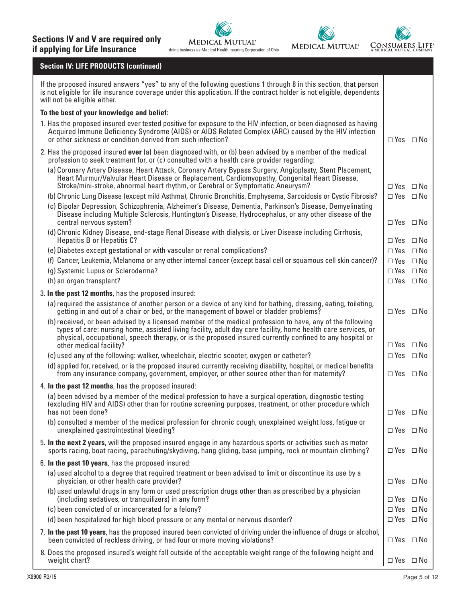

## **Section IV: LIFE PRODUCTS (continued)**

| If the proposed insured answers "yes" to any of the following questions 1 through 8 in this section, that person<br>is not eligible for life insurance coverage under this application. If the contract holder is not eligible, dependents<br>will not be eligible either.                                                                                         |                      |              |  |  |
|--------------------------------------------------------------------------------------------------------------------------------------------------------------------------------------------------------------------------------------------------------------------------------------------------------------------------------------------------------------------|----------------------|--------------|--|--|
| To the best of your knowledge and belief:                                                                                                                                                                                                                                                                                                                          |                      |              |  |  |
| 1. Has the proposed insured ever tested positive for exposure to the HIV infection, or been diagnosed as having<br>Acquired Immune Deficiency Syndrome (AIDS) or AIDS Related Complex (ARC) caused by the HIV infection<br>or other sickness or condition derived from such infection?                                                                             | $\Box$ Yes $\Box$ No |              |  |  |
| 2. Has the proposed insured ever (a) been diagnosed with, or (b) been advised by a member of the medical<br>profession to seek treatment for, or (c) consulted with a health care provider regarding:                                                                                                                                                              |                      |              |  |  |
| (a) Coronary Artery Disease, Heart Attack, Coronary Artery Bypass Surgery, Angioplasty, Stent Placement,<br>Heart Murmur/Valvular Heart Disease or Replacement, Cardiomyopathy, Congenital Heart Disease,<br>Stroke/mini-stroke, abnormal heart rhythm, or Cerebral or Symptomatic Aneurysm?                                                                       | $\Box$ Yes $\Box$ No |              |  |  |
| (b) Chronic Lung Disease (except mild Asthma), Chronic Bronchitis, Emphysema, Sarcoidosis or Cystic Fibrosis?                                                                                                                                                                                                                                                      | $\Box$ Yes $\Box$ No |              |  |  |
| (c) Bipolar Depression, Schizophrenia, Alzheimer's Disease, Dementia, Parkinson's Disease, Demyelinating<br>Disease including Multiple Sclerosis, Huntington's Disease, Hydrocephalus, or any other disease of the<br>central nervous system?                                                                                                                      | $\Box$ Yes $\Box$ No |              |  |  |
| (d) Chronic Kidney Disease, end-stage Renal Disease with dialysis, or Liver Disease including Cirrhosis,<br><b>Hepatitis B or Hepatitis C?</b>                                                                                                                                                                                                                     | $\Box$ Yes $\Box$ No |              |  |  |
| (e) Diabetes except gestational or with vascular or renal complications?                                                                                                                                                                                                                                                                                           | $\Box$ Yes $\Box$ No |              |  |  |
| (f) Cancer, Leukemia, Melanoma or any other internal cancer (except basal cell or squamous cell skin cancer)?                                                                                                                                                                                                                                                      | $\Box$ Yes $\Box$ No |              |  |  |
| (g) Systemic Lupus or Scleroderma?                                                                                                                                                                                                                                                                                                                                 | $\Box$ Yes $\Box$ No |              |  |  |
| (h) an organ transplant?                                                                                                                                                                                                                                                                                                                                           | $\Box$ Yes $\Box$ No |              |  |  |
| 3. In the past 12 months, has the proposed insured:                                                                                                                                                                                                                                                                                                                |                      |              |  |  |
| (a) required the assistance of another person or a device of any kind for bathing, dressing, eating, toileting,<br>getting in and out of a chair or bed, or the management of bowel or bladder problems?                                                                                                                                                           | $\Box$ Yes $\Box$ No |              |  |  |
| (b) received, or been advised by a licensed member of the medical profession to have, any of the following<br>types of care: nursing home, assisted living facility, adult day care facility, home health care services, or<br>physical, occupational, speech therapy, or is the proposed insured currently confined to any hospital or<br>other medical facility? | $\Box$ Yes $\Box$ No |              |  |  |
| (c) used any of the following: walker, wheelchair, electric scooter, oxygen or catheter?                                                                                                                                                                                                                                                                           | $\Box$ Yes $\Box$ No |              |  |  |
| (d) applied for, received, or is the proposed insured currently receiving disability, hospital, or medical benefits<br>from any insurance company, government, employer, or other source other than for maternity?                                                                                                                                                 | $\Box$ Yes $\Box$ No |              |  |  |
| 4. In the past 12 months, has the proposed insured:                                                                                                                                                                                                                                                                                                                |                      |              |  |  |
| (a) been advised by a member of the medical profession to have a surgical operation, diagnostic testing<br>(excluding HIV and AIDS) other than for routine screening purposes, treatment, or other procedure which                                                                                                                                                 |                      |              |  |  |
| has not been done?<br>(b) consulted a member of the medical profession for chronic cough, unexplained weight loss, fatigue or                                                                                                                                                                                                                                      | $\Box$ Yes $\Box$ No |              |  |  |
| unexplained gastrointestinal bleeding?                                                                                                                                                                                                                                                                                                                             | $\Box$ Yes $\Box$ No |              |  |  |
| 5. In the next 2 years, will the proposed insured engage in any hazardous sports or activities such as motor<br>sports racing, boat racing, parachuting/skydiving, hang gliding, base jumping, rock or mountain climbing?                                                                                                                                          | $\Box$ Yes $\Box$ No |              |  |  |
| 6. In the past 10 years, has the proposed insured:                                                                                                                                                                                                                                                                                                                 |                      |              |  |  |
| (a) used alcohol to a degree that required treatment or been advised to limit or discontinue its use by a<br>physician, or other health care provider?                                                                                                                                                                                                             | $\Box$ Yes $\Box$ No |              |  |  |
| (b) used unlawful drugs in any form or used prescription drugs other than as prescribed by a physician<br>(including sedatives, or tranquilizers) in any form?                                                                                                                                                                                                     | $\Box$ Yes $\Box$ No |              |  |  |
| (c) been convicted of or incarcerated for a felony?                                                                                                                                                                                                                                                                                                                | $\Box$ Yes           | $\square$ No |  |  |
| (d) been hospitalized for high blood pressure or any mental or nervous disorder?                                                                                                                                                                                                                                                                                   | $\Box$ Yes $\Box$ No |              |  |  |
| 7. In the past 10 years, has the proposed insured been convicted of driving under the influence of drugs or alcohol,<br>been convicted of reckless driving, or had four or more moving violations?                                                                                                                                                                 | $\Box$ Yes $\Box$ No |              |  |  |
| 8. Does the proposed insured's weight fall outside of the acceptable weight range of the following height and<br>weight chart?                                                                                                                                                                                                                                     | $\Box$ Yes $\Box$ No |              |  |  |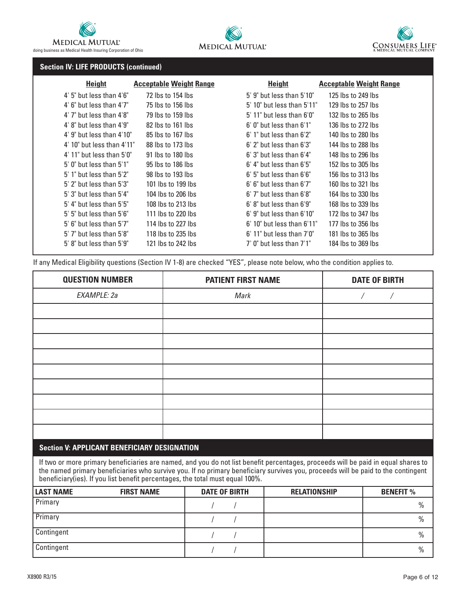





## **Section IV: LIFE PRODUCTS (continued)**

| <b>Height</b>                    | <b>Acceptable Weight Range</b> | <b>Height</b>                    | <b>Acceptable Weight Range</b> |
|----------------------------------|--------------------------------|----------------------------------|--------------------------------|
| $4'$ 5" but less than $4'6"$     | 72 lbs to 154 lbs              | $5'$ 9" but less than $5'10"$    | 125 lbs to 249 lbs             |
| $4'$ 6" but less than $4'7''$    | 75 lbs to 156 lbs              | $5'$ 10" but less than $5'11"$   | 129 lbs to 257 lbs             |
| $4'$ 7" but less than $4'8"$     | 79 lbs to 159 lbs              | $5'$ 11" but less than $6'0''$   | 132 lbs to 265 lbs             |
| $4'$ 8" but less than $4'9"$     | 82 lbs to 161 lbs              | $6'$ 0" but less than $6'1"$     | 136 lbs to 272 lbs             |
| $4'$ 9" but less than $4'10"$    | 85 lbs to 167 lbs              | $6'$ 1" but less than $6'2"$     | 140 lbs to 280 lbs             |
| $4'$ 10" but less than $4'11"$   | 88 lbs to 173 lbs              | $6'$ 2" but less than $6'3"$     | 144 lbs to 288 lbs             |
| $4'$ 11" but less than $5'0''$   | 91 lbs to 180 lbs              | $6'$ 3" but less than $6'4"$     | 148 lbs to 296 lbs             |
| $5'$ 0" but less than $5'1"$     | $95$ lbs to 186 lbs            | $6'$ 4" but less than $6'5"$     | 152 lbs to 305 lbs             |
| $5'$ 1" but less than $5'2"$     | 98 lbs to 193 lbs              | $6'$ 5" but less than $6'6''$    | 156 lbs to 313 lbs             |
| $5'$ 2" but less than $5'3"$     | 101 lbs to 199 lbs             | $6'$ $6''$ but less than $6'7''$ | 160 lbs to 321 lbs             |
| $5'$ 3" but less than $5'4"$     | 104 lbs to 206 lbs             | $6'$ 7" but less than $6'8"$     | 164 lbs to 330 lbs             |
| $5'$ 4" but less than $5'5"$     | 108 lbs to 213 lbs             | $6'$ $8''$ but less than $6'9''$ | 168 lbs to 339 lbs             |
| $5'$ $5''$ but less than $5'6''$ | 111 lbs to 220 lbs             | $6'$ 9" but less than $6'10"$    | 172 lbs to 347 lbs             |
| $5'$ 6" but less than $5'7"$     | 114 lbs to 227 lbs             | $6'$ 10" but less than $6'11"$   | 177 lbs to 356 lbs             |
| $5'$ 7" but less than $5'8"$     | 118 lbs to 235 lbs             | $6'$ 11" but less than $7'0''$   | 181 lbs to 365 lbs             |
| $5'$ 8" but less than $5'9"$     | 121 lbs to 242 lbs             | $7'$ 0" but less than $7'1''$    | 184 lbs to 369 lbs             |
|                                  |                                |                                  |                                |

If any Medical Eligibility questions (Section IV 1-8) are checked "YES", please note below, who the condition applies to.

| <b>QUESTION NUMBER</b> | <b>PATIENT FIRST NAME</b> | <b>DATE OF BIRTH</b> |
|------------------------|---------------------------|----------------------|
| EXAMPLE: 2a            | Mark                      |                      |
|                        |                           |                      |
|                        |                           |                      |
|                        |                           |                      |
|                        |                           |                      |
|                        |                           |                      |
|                        |                           |                      |
|                        |                           |                      |
|                        |                           |                      |
|                        |                           |                      |

## **Section V: APPLICANT BENEFICIARY DESIGNATION**

If two or more primary beneficiaries are named, and you do not list benefit percentages, proceeds will be paid in equal shares to the named primary beneficiaries who survive you. If no primary beneficiary survives you, proceeds will be paid to the contingent beneficiary(ies). If you list benefit percentages, the total must equal 100%.

| <b>LAST NAME</b> | <b>FIRST NAME</b> | <b>DATE OF BIRTH</b> | <b>RELATIONSHIP</b> | <b>BENEFIT %</b> |
|------------------|-------------------|----------------------|---------------------|------------------|
| Primary          |                   |                      |                     | $\frac{0}{0}$    |
| Primary          |                   |                      |                     | $\frac{0}{0}$    |
| Contingent       |                   |                      |                     | $\frac{0}{0}$    |
| Contingent       |                   |                      |                     | $\frac{0}{0}$    |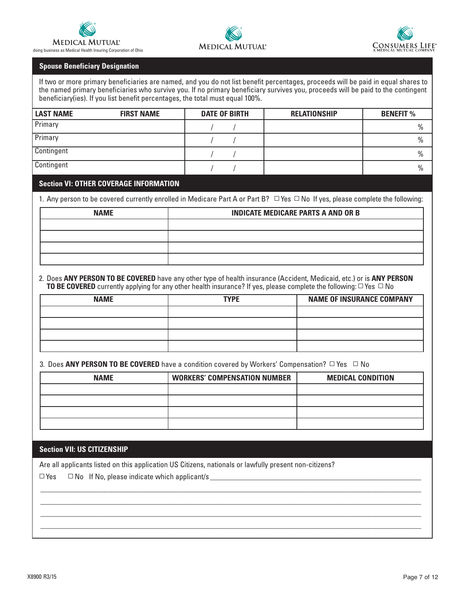





#### **Spouse Beneficiary Designation**

If two or more primary beneficiaries are named, and you do not list benefit percentages, proceeds will be paid in equal shares to the named primary beneficiaries who survive you. If no primary beneficiary survives you, proceeds will be paid to the contingent beneficiary(ies). If you list benefit percentages, the total must equal 100%.

| <b>LAST NAME</b> | <b>FIRST NAME</b> | <b>DATE OF BIRTH</b> | <b>RELATIONSHIP</b> | <b>BENEFIT %</b> |
|------------------|-------------------|----------------------|---------------------|------------------|
| Primary          |                   |                      |                     | $\frac{0}{0}$    |
| Primary          |                   |                      |                     | $\frac{0}{0}$    |
| Contingent       |                   |                      |                     | $\frac{0}{0}$    |
| Contingent       |                   |                      |                     | $\frac{0}{0}$    |

## **Section VI: OTHER COVERAGE INFORMATION**

1. Any person to be covered currently enrolled in Medicare Part A or Part B?  $\Box$  Yes  $\Box$  No If yes, please complete the following:

| <b>NAME</b> | <b>INDICATE MEDICARE PARTS A AND OR B</b> |
|-------------|-------------------------------------------|
|             |                                           |
|             |                                           |
|             |                                           |
|             |                                           |

2. Does **ANY PERSON TO BE COVERED** have any other type of health insurance (Accident, Medicaid, etc.) or is **ANY PERSON TO BE COVERED** currently applying for any other health insurance? If yes, please complete the following:  $\Box$  Yes  $\Box$  No

| <b>NAME</b> | <b>TYPE</b> | <b>NAME OF INSURANCE COMPANY</b> |
|-------------|-------------|----------------------------------|
|             |             |                                  |
|             |             |                                  |
|             |             |                                  |
|             |             |                                  |

3. Does ANY PERSON TO BE COVERED have a condition covered by Workers' Compensation? □ Yes □ No

| <b>NAME</b> | <b>WORKERS' COMPENSATION NUMBER</b> | <b>MEDICAL CONDITION</b> |
|-------------|-------------------------------------|--------------------------|
|             |                                     |                          |
|             |                                     |                          |
|             |                                     |                          |
|             |                                     |                          |

\_\_\_\_\_\_\_\_\_\_\_\_\_\_\_\_\_\_\_\_\_\_\_\_\_\_\_\_\_\_\_\_\_\_\_\_\_\_\_\_\_\_\_\_\_\_\_\_\_\_\_\_\_\_\_\_\_\_\_\_\_\_\_\_\_\_\_\_\_\_\_\_\_\_\_\_\_\_\_\_\_\_\_\_\_\_\_\_\_\_\_\_\_\_\_\_\_\_\_\_\_ \_\_\_\_\_\_\_\_\_\_\_\_\_\_\_\_\_\_\_\_\_\_\_\_\_\_\_\_\_\_\_\_\_\_\_\_\_\_\_\_\_\_\_\_\_\_\_\_\_\_\_\_\_\_\_\_\_\_\_\_\_\_\_\_\_\_\_\_\_\_\_\_\_\_\_\_\_\_\_\_\_\_\_\_\_\_\_\_\_\_\_\_\_\_\_\_\_\_\_\_\_ \_\_\_\_\_\_\_\_\_\_\_\_\_\_\_\_\_\_\_\_\_\_\_\_\_\_\_\_\_\_\_\_\_\_\_\_\_\_\_\_\_\_\_\_\_\_\_\_\_\_\_\_\_\_\_\_\_\_\_\_\_\_\_\_\_\_\_\_\_\_\_\_\_\_\_\_\_\_\_\_\_\_\_\_\_\_\_\_\_\_\_\_\_\_\_\_\_\_\_\_\_ \_\_\_\_\_\_\_\_\_\_\_\_\_\_\_\_\_\_\_\_\_\_\_\_\_\_\_\_\_\_\_\_\_\_\_\_\_\_\_\_\_\_\_\_\_\_\_\_\_\_\_\_\_\_\_\_\_\_\_\_\_\_\_\_\_\_\_\_\_\_\_\_\_\_\_\_\_\_\_\_\_\_\_\_\_\_\_\_\_\_\_\_\_\_\_\_\_\_\_\_\_

**Section VII: US CITIZENSHIP**

Are all applicants listed on this application US Citizens, nationals or lawfully present non-citizens?

▫ Yes ▫ No If No, please indicate which applicant/s \_\_\_\_\_\_\_\_\_\_\_\_\_\_\_\_\_\_\_\_\_\_\_\_\_\_\_\_\_\_\_\_\_\_\_\_\_\_\_\_\_\_\_\_\_\_\_\_\_\_\_\_\_\_\_\_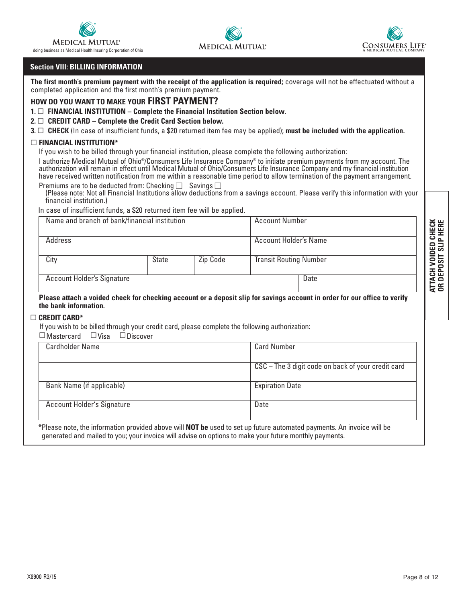

doing business as Medical Health Insuring Corporation of Ohio

## **Section VIII: BILLING INFORMATION**

**The first month's premium payment with the receipt of the application is required;** coverage will not be effectuated without a completed application and the first month's premium payment.

**MEDICAL MUTUAL®** 

### **HOW DO YOU WANT TO MAKE YOUR FIRST PAYMENT?**

**1. □ FINANCIAL INSTITUTION – Complete the Financial Institution Section below.** 

#### **2.** ▫ **CREDIT CARD – Complete the Credit Card Section below.**

**3.** ▫ **CHECK** (In case of insufficient funds, a \$20 returned item fee may be applied); **must be included with the application.**

#### ▫ **FINANCIAL INSTITUTION\***

If you wish to be billed through your financial institution, please complete the following authorization:

I authorize Medical Mutual of Ohio®/Consumers Life Insurance Company® to initiate premium payments from my account. The authorization will remain in effect until Medical Mutual of Ohio/Consumers Life Insurance Company and my financial institution have received written notification from me within a reasonable time period to allow termination of the payment arrangement. Premiums are to be deducted from: Checking  $\Box$  Savings  $\Box$ 

(Please note: Not all Financial Institutions allow deductions from a savings account. Please verify this information with your financial institution.)

In case of insufficient funds, a \$20 returned item fee will be applied.

| Name and branch of bank/financial institution |       |          | <b>Account Number</b>         | ⊻ ш<br>ပα   |
|-----------------------------------------------|-------|----------|-------------------------------|-------------|
| Address                                       |       |          | Account Holder's Name         | ౿<br>▭<br>ш |
| City                                          | State | Zip Code | <b>Transit Routing Number</b> | 0           |
| <b>Account Holder's Signature</b>             |       |          | Date                          | 30          |

#### **Please attach a voided check for checking account or a deposit slip for savings account in order for our office to verify the bank information.**

## ▫ **CREDIT CARD\***

If you wish to be billed through your credit card, please complete the following authorization:

 $\Box$  Mastercard  $\Box$  Visa  $\Box$  Discover

| <b>Cardholder Name</b>            | <b>Card Number</b>                                 |
|-----------------------------------|----------------------------------------------------|
|                                   | CSC - The 3 digit code on back of your credit card |
| Bank Name (if applicable)         | <b>Expiration Date</b>                             |
| <b>Account Holder's Signature</b> | Date                                               |

\*Please note, the information provided above will **NOT be** used to set up future automated payments. An invoice will be generated and mailed to you; your invoice will advise on options to make your future monthly payments.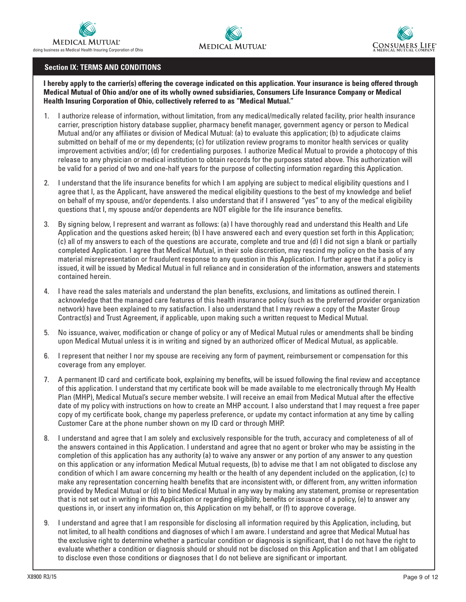





## **Section IX: TERMS AND CONDITIONS**

**I hereby apply to the carrier(s) offering the coverage indicated on this application. Your insurance is being offered through Medical Mutual of Ohio and/or one of its wholly owned subsidiaries, Consumers Life Insurance Company or Medical Health Insuring Corporation of Ohio, collectively referred to as "Medical Mutual."**

- 1. I authorize release of information, without limitation, from any medical/medically related facility, prior health insurance carrier, prescription history database supplier, pharmacy benefit manager, government agency or person to Medical Mutual and/or any affiliates or division of Medical Mutual: (a) to evaluate this application; (b) to adjudicate claims submitted on behalf of me or my dependents; (c) for utilization review programs to monitor health services or quality improvement activities and/or; (d) for credentialing purposes. I authorize Medical Mutual to provide a photocopy of this release to any physician or medical institution to obtain records for the purposes stated above. This authorization will be valid for a period of two and one-half years for the purpose of collecting information regarding this Application.
- 2. I understand that the life insurance benefits for which I am applying are subject to medical eligibility questions and I agree that I, as the Applicant, have answered the medical eligibility questions to the best of my knowledge and belief on behalf of my spouse, and/or dependents. I also understand that if I answered "yes" to any of the medical eligibility questions that I, my spouse and/or dependents are NOT eligible for the life insurance benefits.
- 3. By signing below, I represent and warrant as follows: (a) I have thoroughly read and understand this Health and Life Application and the questions asked herein; (b) I have answered each and every question set forth in this Application; (c) all of my answers to each of the questions are accurate, complete and true and (d) I did not sign a blank or partially completed Application. I agree that Medical Mutual, in their sole discretion, may rescind my policy on the basis of any material misrepresentation or fraudulent response to any question in this Application. I further agree that if a policy is issued, it will be issued by Medical Mutual in full reliance and in consideration of the information, answers and statements contained herein.
- 4. I have read the sales materials and understand the plan benefits, exclusions, and limitations as outlined therein. I acknowledge that the managed care features of this health insurance policy (such as the preferred provider organization network) have been explained to my satisfaction. I also understand that I may review a copy of the Master Group Contract(s) and Trust Agreement, if applicable, upon making such a written request to Medical Mutual.
- 5. No issuance, waiver, modification or change of policy or any of Medical Mutual rules or amendments shall be binding upon Medical Mutual unless it is in writing and signed by an authorized officer of Medical Mutual, as applicable.
- 6. I represent that neither I nor my spouse are receiving any form of payment, reimbursement or compensation for this coverage from any employer.
- 7. A permanent ID card and certificate book, explaining my benefits, will be issued following the final review and acceptance of this application. I understand that my certificate book will be made available to me electronically through My Health Plan (MHP), Medical Mutual's secure member website. I will receive an email from Medical Mutual after the effective date of my policy with instructions on how to create an MHP account. I also understand that I may request a free paper copy of my certificate book, change my paperless preference, or update my contact information at any time by calling Customer Care at the phone number shown on my ID card or through MHP.
- 8. I understand and agree that I am solely and exclusively responsible for the truth, accuracy and completeness of all of the answers contained in this Application. I understand and agree that no agent or broker who may be assisting in the completion of this application has any authority (a) to waive any answer or any portion of any answer to any question on this application or any information Medical Mutual requests, (b) to advise me that I am not obligated to disclose any condition of which I am aware concerning my health or the health of any dependent included on the application, (c) to make any representation concerning health benefits that are inconsistent with, or different from, any written information provided by Medical Mutual or (d) to bind Medical Mutual in any way by making any statement, promise or representation that is not set out in writing in this Application or regarding eligibility, benefits or issuance of a policy, (e) to answer any questions in, or insert any information on, this Application on my behalf, or (f) to approve coverage.
- 9. I understand and agree that I am responsible for disclosing all information required by this Application, including, but not limited, to all health conditions and diagnoses of which I am aware. I understand and agree that Medical Mutual has the exclusive right to determine whether a particular condition or diagnosis is significant, that I do not have the right to evaluate whether a condition or diagnosis should or should not be disclosed on this Application and that I am obligated to disclose even those conditions or diagnoses that I do not believe are significant or important.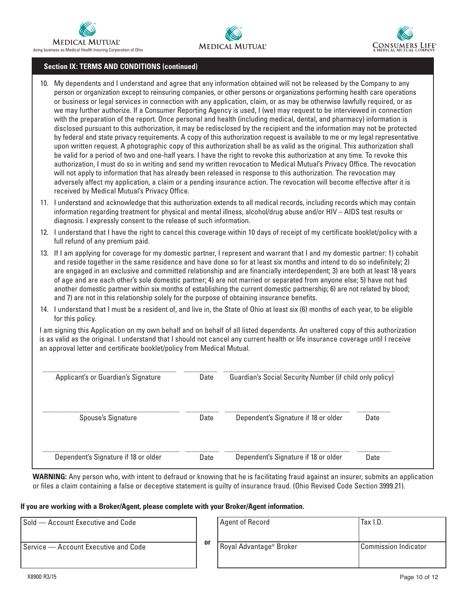





#### **Section IX: TERMS AND CONDITIONS (continued)**

- 10. My dependents and I understand and agree that any information obtained will not be released by the Company to any person or organization except to reinsuring companies, or other persons or organizations performing health care operations or business or legal services in connection with any application, claim, or as may be otherwise lawfully required, or as we may further authorize. If a Consumer Reporting Agency is used, I (we) may request to be interviewed in connection with the preparation of the report. Once personal and health (including medical, dental, and pharmacy) information is disclosed pursuant to this authorization, it may be redisclosed by the recipient and the information may not be protected by federal and state privacy requirements. A copy of this authorization request is available to me or my legal representative upon written request. A photographic copy of this authorization shall be as valid as the original. This authorization shall be valid for a period of two and one-half years. I have the right to revoke this authorization at any time. To revoke this authorization, I must do so in writing and send my written revocation to Medical Mutual's Privacy Office. The revocation will not apply to information that has already been released in response to this authorization. The revocation may adversely affect my application, a claim or a pending insurance action. The revocation will become effective after it is received by Medical Mutual's Privacy Office.
- 11. I understand and acknowledge that this authorization extends to all medical records, including records which may contain information regarding treatment for physical and mental illness, alcohol/drug abuse and/or HIV – AIDS test results or diagnosis. I expressly consent to the release of such information.
- 12. I understand that I have the right to cancel this coverage within 10 days of receipt of my certificate booklet/policy with a full refund of any premium paid.
- 13. If I am applying for coverage for my domestic partner, I represent and warrant that I and my domestic partner: 1) cohabit and reside together in the same residence and have done so for at least six months and intend to do so indefinitely; 2) are engaged in an exclusive and committed relationship and are financially interdependent; 3) are both at least 18 years of age and are each other's sole domestic partner; 4) are not married or separated from anyone else; 5) have not had another domestic partner within six months of establishing the current domestic partnership; 6) are not related by blood; and 7) are not in this relationship solely for the purpose of obtaining insurance benefits.
- 14. I understand that I must be a resident of, and live in, the State of Ohio at least six (6) months of each year, to be eligible for this policy.

I am signing this Application on my own behalf and on behalf of all listed dependents. An unaltered copy of this authorization is as valid as the original. I understand that I should not cancel any current health or life insurance coverage until I receive an approval letter and certificate booklet/policy from Medical Mutual.

| Applicant's or Guardian's Signature  | Date | Guardian's Social Security Number (if child only policy) |      |
|--------------------------------------|------|----------------------------------------------------------|------|
| Spouse's Signature                   | Date | Dependent's Signature if 18 or older                     | Date |
| Dependent's Signature if 18 or older | Date | Dependent's Signature if 18 or older                     | Date |

**WARNING:** Any person who, with intent to defraud or knowing that he is facilitating fraud against an insurer, submits an application or files a claim containing a false or deceptive statement is guilty of insurance fraud. (Ohio Revised Code Section 3999.21).

#### **If you are working with a Broker/Agent, please complete with your Broker/Agent information.**

| Sold – Account Executive and Code    |    | Agent of Record                     | Tax I.D.             |
|--------------------------------------|----|-------------------------------------|----------------------|
| Service — Account Executive and Code | 0ľ | Royal Advantage <sup>®</sup> Broker | Commission Indicator |